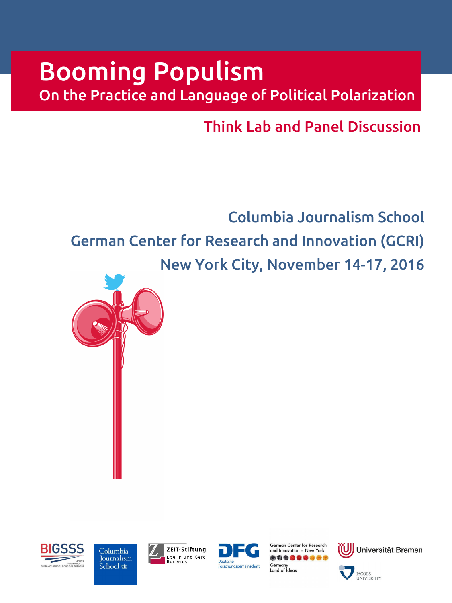# Booming Populism

On the Practice and Language of Political Polarization

Think Lab and Panel Discussion

Columbia Journalism School German Center for Research and Innovation (GCRI) New York City, November 14-17, 2016









German Center for Research and Innovation - New York \*\*\*\*\*\*\*\*\* Germany Land of Ideas



UNIVERSITY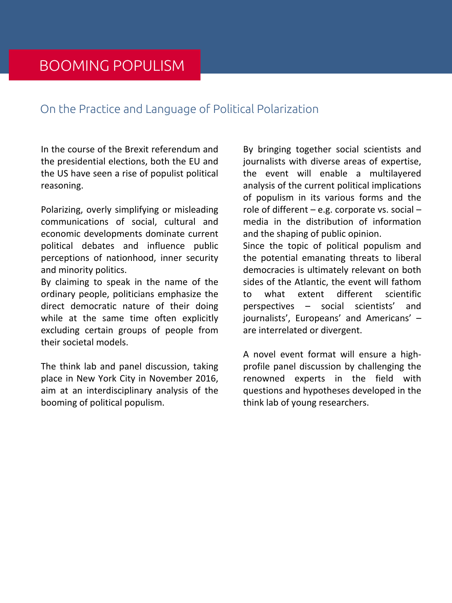#### On the Practice and Language of Political Polarization

In the course of the Brexit referendum and the presidential elections, both the EU and the US have seen a rise of populist political reasoning.

Polarizing, overly simplifying or misleading communications of social, cultural and economic developments dominate current political debates and influence public perceptions of nationhood, inner security and minority politics.

By claiming to speak in the name of the ordinary people, politicians emphasize the direct democratic nature of their doing while at the same time often explicitly excluding certain groups of people from their societal models.

The think lab and panel discussion, taking place in New York City in November 2016, aim at an interdisciplinary analysis of the booming of political populism.

By bringing together social scientists and journalists with diverse areas of expertise, the event will enable a multilayered analysis of the current political implications of populism in its various forms and the role of different - e.g. corporate vs. social media in the distribution of information and the shaping of public opinion.

Since the topic of political populism and the potential emanating threats to liberal democracies is ultimately relevant on both sides of the Atlantic, the event will fathom what extent different scientific  $t_0$ perspectives - social scientists' and journalists', Europeans' and Americans' are interrelated or divergent.

A novel event format will ensure a highprofile panel discussion by challenging the renowned experts in the field with questions and hypotheses developed in the think lab of young researchers.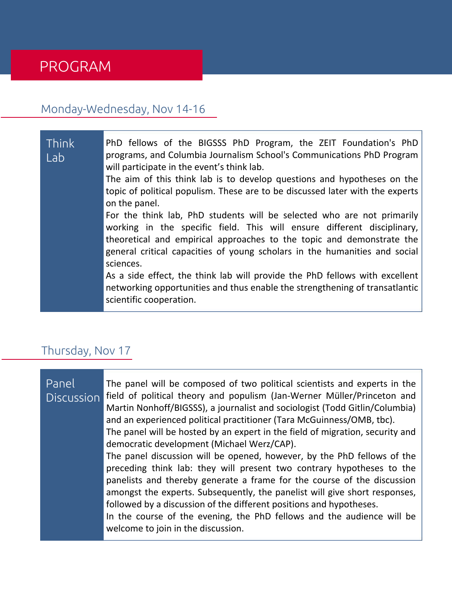### **PROGRAM**

#### Monday-Wednesday, Nov 14-16

Think PhD fellows of the BIGSSS PhD Program, the ZEIT Foundation's PhD programs, and Columbia Journalism School's Communications PhD Program I ab will participate in the event's think lab. The aim of this think lab is to develop questions and hypotheses on the topic of political populism. These are to be discussed later with the experts on the panel. For the think lab, PhD students will be selected who are not primarily working in the specific field. This will ensure different disciplinary, theoretical and empirical approaches to the topic and demonstrate the general critical capacities of young scholars in the humanities and social sciences. As a side effect, the think lab will provide the PhD fellows with excellent networking opportunities and thus enable the strengthening of transatlantic scientific cooperation.

#### Thursday, Nov 17

| Panel<br><b>Discussion</b> | The panel will be composed of two political scientists and experts in the<br>field of political theory and populism (Jan-Werner Müller/Princeton and<br>Martin Nonhoff/BIGSSS), a journalist and sociologist (Todd Gitlin/Columbia)<br>and an experienced political practitioner (Tara McGuinness/OMB, tbc).<br>The panel will be hosted by an expert in the field of migration, security and<br>democratic development (Michael Werz/CAP).<br>The panel discussion will be opened, however, by the PhD fellows of the<br>preceding think lab: they will present two contrary hypotheses to the<br>panelists and thereby generate a frame for the course of the discussion<br>amongst the experts. Subsequently, the panelist will give short responses,<br>followed by a discussion of the different positions and hypotheses.<br>In the course of the evening, the PhD fellows and the audience will be |
|----------------------------|-----------------------------------------------------------------------------------------------------------------------------------------------------------------------------------------------------------------------------------------------------------------------------------------------------------------------------------------------------------------------------------------------------------------------------------------------------------------------------------------------------------------------------------------------------------------------------------------------------------------------------------------------------------------------------------------------------------------------------------------------------------------------------------------------------------------------------------------------------------------------------------------------------------|
|                            | welcome to join in the discussion.                                                                                                                                                                                                                                                                                                                                                                                                                                                                                                                                                                                                                                                                                                                                                                                                                                                                        |